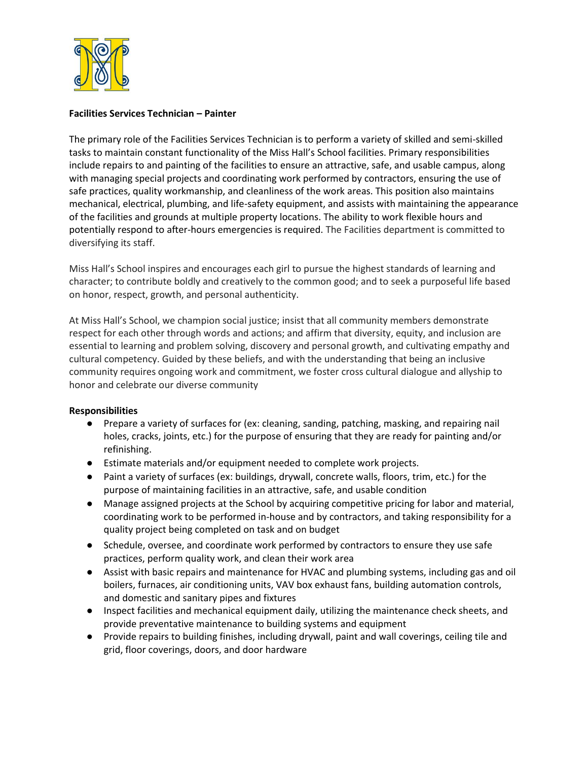

## **Facilities Services Technician – Painter**

The primary role of the Facilities Services Technician is to perform a variety of skilled and semi-skilled tasks to maintain constant functionality of the Miss Hall's School facilities. Primary responsibilities include repairs to and painting of the facilities to ensure an attractive, safe, and usable campus, along with managing special projects and coordinating work performed by contractors, ensuring the use of safe practices, quality workmanship, and cleanliness of the work areas. This position also maintains mechanical, electrical, plumbing, and life-safety equipment, and assists with maintaining the appearance of the facilities and grounds at multiple property locations. The ability to work flexible hours and potentially respond to after-hours emergencies is required. The Facilities department is committed to diversifying its staff.

Miss Hall's School inspires and encourages each girl to pursue the highest standards of learning and character; to contribute boldly and creatively to the common good; and to seek a purposeful life based on honor, respect, growth, and personal authenticity.

At Miss Hall's School, we champion social justice; insist that all community members demonstrate respect for each other through words and actions; and affirm that diversity, equity, and inclusion are essential to learning and problem solving, discovery and personal growth, and cultivating empathy and cultural competency. Guided by these beliefs, and with the understanding that being an inclusive community requires ongoing work and commitment, we foster cross cultural dialogue and allyship to honor and celebrate our diverse community

## **Responsibilities**

- Prepare a variety of surfaces for (ex: cleaning, sanding, patching, masking, and repairing nail holes, cracks, joints, etc.) for the purpose of ensuring that they are ready for painting and/or refinishing.
- Estimate materials and/or equipment needed to complete work projects.
- Paint a variety of surfaces (ex: buildings, drywall, concrete walls, floors, trim, etc.) for the purpose of maintaining facilities in an attractive, safe, and usable condition
- Manage assigned projects at the School by acquiring competitive pricing for labor and material, coordinating work to be performed in-house and by contractors, and taking responsibility for a quality project being completed on task and on budget
- Schedule, oversee, and coordinate work performed by contractors to ensure they use safe practices, perform quality work, and clean their work area
- Assist with basic repairs and maintenance for HVAC and plumbing systems, including gas and oil boilers, furnaces, air conditioning units, VAV box exhaust fans, building automation controls, and domestic and sanitary pipes and fixtures
- Inspect facilities and mechanical equipment daily, utilizing the maintenance check sheets, and provide preventative maintenance to building systems and equipment
- Provide repairs to building finishes, including drywall, paint and wall coverings, ceiling tile and grid, floor coverings, doors, and door hardware